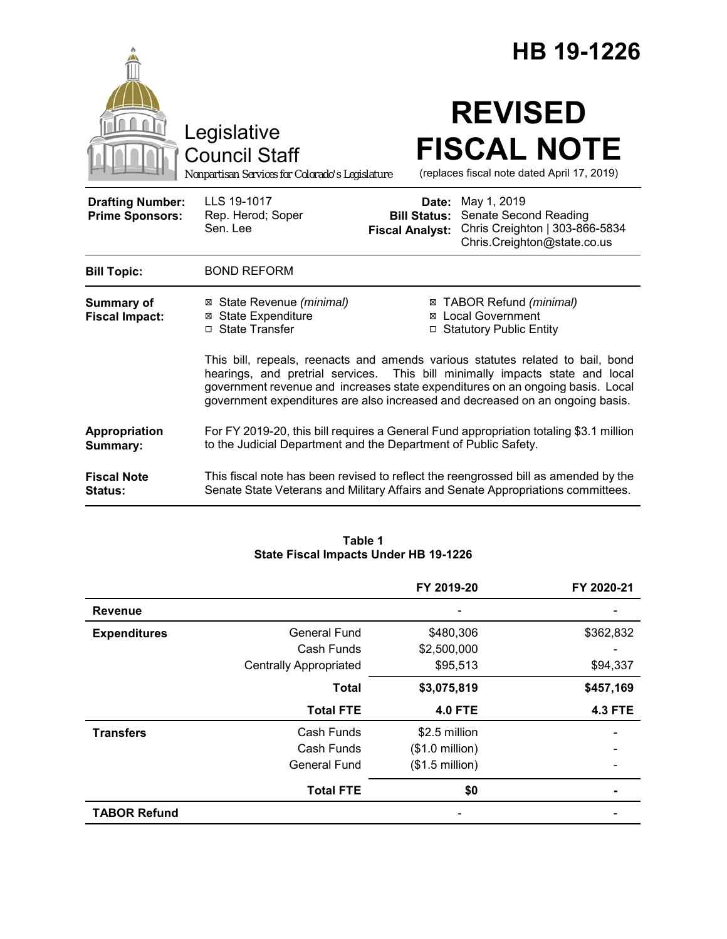|                                                   |                                                                                                                                                                                                                                                                                                                                   |                                                        | HB 19-1226                                                                                                                                                              |  |  |
|---------------------------------------------------|-----------------------------------------------------------------------------------------------------------------------------------------------------------------------------------------------------------------------------------------------------------------------------------------------------------------------------------|--------------------------------------------------------|-------------------------------------------------------------------------------------------------------------------------------------------------------------------------|--|--|
|                                                   | Legislative<br><b>Council Staff</b><br>Nonpartisan Services for Colorado's Legislature                                                                                                                                                                                                                                            |                                                        | <b>REVISED</b><br><b>FISCAL NOTE</b><br>(replaces fiscal note dated April 17, 2019)                                                                                     |  |  |
| <b>Drafting Number:</b><br><b>Prime Sponsors:</b> | LLS 19-1017<br>Rep. Herod; Soper<br>Sen. Lee                                                                                                                                                                                                                                                                                      | Date:<br><b>Bill Status:</b><br><b>Fiscal Analyst:</b> | May 1, 2019<br>Senate Second Reading<br>Chris Creighton   303-866-5834<br>Chris.Creighton@state.co.us                                                                   |  |  |
| <b>Bill Topic:</b>                                | <b>BOND REFORM</b>                                                                                                                                                                                                                                                                                                                |                                                        |                                                                                                                                                                         |  |  |
| <b>Summary of</b><br><b>Fiscal Impact:</b>        | ⊠ State Revenue (minimal)<br><b>State Expenditure</b><br>⊠<br>□ State Transfer                                                                                                                                                                                                                                                    |                                                        | ⊠ TABOR Refund (minimal)<br>⊠ Local Government<br>□ Statutory Public Entity                                                                                             |  |  |
|                                                   | This bill, repeals, reenacts and amends various statutes related to bail, bond<br>hearings, and pretrial services. This bill minimally impacts state and local<br>government revenue and increases state expenditures on an ongoing basis. Local<br>government expenditures are also increased and decreased on an ongoing basis. |                                                        |                                                                                                                                                                         |  |  |
| Appropriation<br>Summary:                         | For FY 2019-20, this bill requires a General Fund appropriation totaling \$3.1 million<br>to the Judicial Department and the Department of Public Safety.                                                                                                                                                                         |                                                        |                                                                                                                                                                         |  |  |
| <b>Fiscal Note</b><br>Status:                     |                                                                                                                                                                                                                                                                                                                                   |                                                        | This fiscal note has been revised to reflect the reengrossed bill as amended by the<br>Senate State Veterans and Military Affairs and Senate Appropriations committees. |  |  |

| Table 1                                      |
|----------------------------------------------|
| <b>State Fiscal Impacts Under HB 19-1226</b> |

|                     |                               | FY 2019-20               | FY 2020-21     |
|---------------------|-------------------------------|--------------------------|----------------|
| <b>Revenue</b>      |                               |                          |                |
| <b>Expenditures</b> | <b>General Fund</b>           | \$480,306                | \$362,832      |
|                     | Cash Funds                    | \$2,500,000              |                |
|                     | <b>Centrally Appropriated</b> | \$95,513                 | \$94,337       |
|                     | <b>Total</b>                  | \$3,075,819              | \$457,169      |
|                     | <b>Total FTE</b>              | <b>4.0 FTE</b>           | <b>4.3 FTE</b> |
| <b>Transfers</b>    | Cash Funds                    | \$2.5 million            |                |
|                     | Cash Funds                    | $($1.0 \text{ million})$ |                |
|                     | <b>General Fund</b>           | $($1.5$ million)         |                |
|                     | <b>Total FTE</b>              | \$0                      |                |
| <b>TABOR Refund</b> |                               |                          |                |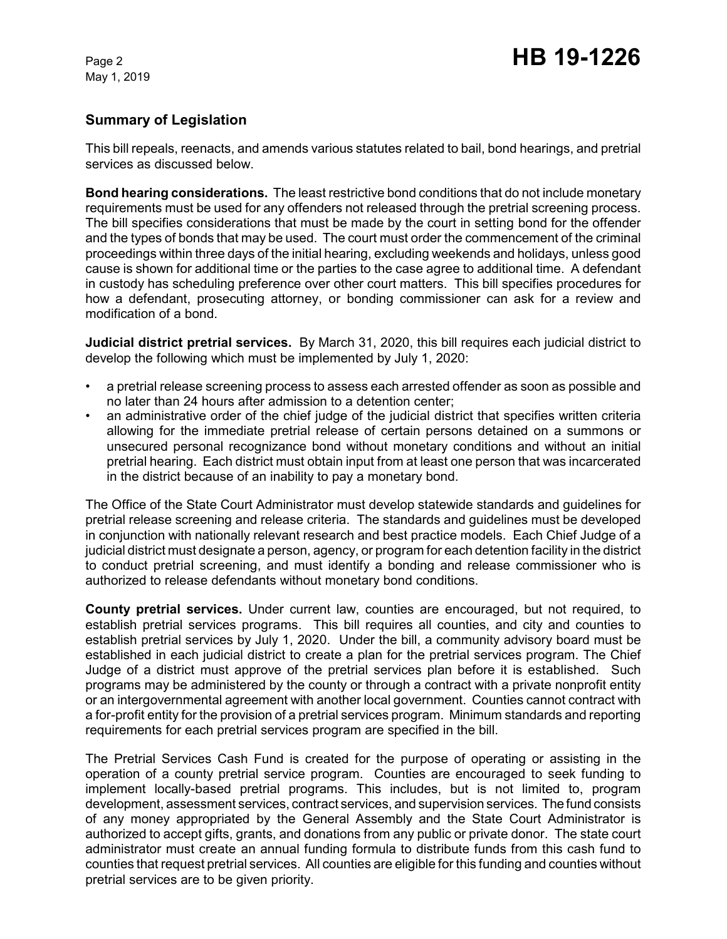# **Summary of Legislation**

This bill repeals, reenacts, and amends various statutes related to bail, bond hearings, and pretrial services as discussed below.

**Bond hearing considerations.** The least restrictive bond conditions that do not include monetary requirements must be used for any offenders not released through the pretrial screening process. The bill specifies considerations that must be made by the court in setting bond for the offender and the types of bonds that may be used. The court must order the commencement of the criminal proceedings within three days of the initial hearing, excluding weekends and holidays, unless good cause is shown for additional time or the parties to the case agree to additional time. A defendant in custody has scheduling preference over other court matters. This bill specifies procedures for how a defendant, prosecuting attorney, or bonding commissioner can ask for a review and modification of a bond.

**Judicial district pretrial services.** By March 31, 2020, this bill requires each judicial district to develop the following which must be implemented by July 1, 2020:

- a pretrial release screening process to assess each arrested offender as soon as possible and no later than 24 hours after admission to a detention center;
- an administrative order of the chief judge of the judicial district that specifies written criteria allowing for the immediate pretrial release of certain persons detained on a summons or unsecured personal recognizance bond without monetary conditions and without an initial pretrial hearing. Each district must obtain input from at least one person that was incarcerated in the district because of an inability to pay a monetary bond.

The Office of the State Court Administrator must develop statewide standards and guidelines for pretrial release screening and release criteria. The standards and guidelines must be developed in conjunction with nationally relevant research and best practice models. Each Chief Judge of a judicial district must designate a person, agency, or program for each detention facility in the district to conduct pretrial screening, and must identify a bonding and release commissioner who is authorized to release defendants without monetary bond conditions.

**County pretrial services.** Under current law, counties are encouraged, but not required, to establish pretrial services programs. This bill requires all counties, and city and counties to establish pretrial services by July 1, 2020. Under the bill, a community advisory board must be established in each judicial district to create a plan for the pretrial services program. The Chief Judge of a district must approve of the pretrial services plan before it is established. Such programs may be administered by the county or through a contract with a private nonprofit entity or an intergovernmental agreement with another local government. Counties cannot contract with a for-profit entity for the provision of a pretrial services program. Minimum standards and reporting requirements for each pretrial services program are specified in the bill.

The Pretrial Services Cash Fund is created for the purpose of operating or assisting in the operation of a county pretrial service program. Counties are encouraged to seek funding to implement locally-based pretrial programs. This includes, but is not limited to, program development, assessment services, contract services, and supervision services. The fund consists of any money appropriated by the General Assembly and the State Court Administrator is authorized to accept gifts, grants, and donations from any public or private donor. The state court administrator must create an annual funding formula to distribute funds from this cash fund to counties that request pretrial services. All counties are eligible for this funding and counties without pretrial services are to be given priority.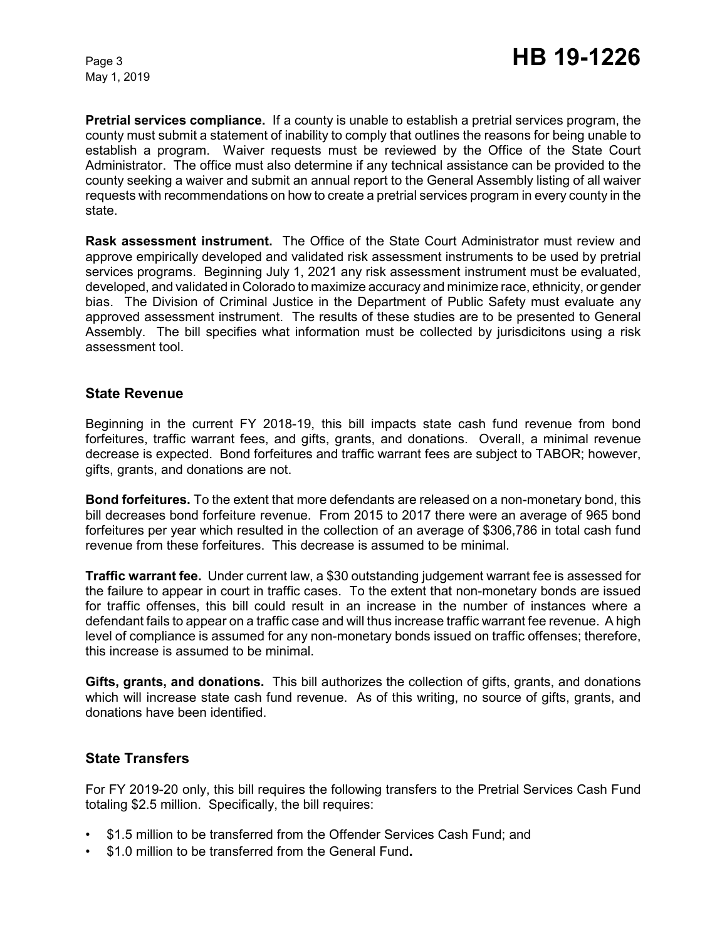**Pretrial services compliance.** If a county is unable to establish a pretrial services program, the county must submit a statement of inability to comply that outlines the reasons for being unable to establish a program. Waiver requests must be reviewed by the Office of the State Court Administrator. The office must also determine if any technical assistance can be provided to the county seeking a waiver and submit an annual report to the General Assembly listing of all waiver requests with recommendations on how to create a pretrial services program in every county in the state.

**Rask assessment instrument.** The Office of the State Court Administrator must review and approve empirically developed and validated risk assessment instruments to be used by pretrial services programs. Beginning July 1, 2021 any risk assessment instrument must be evaluated, developed, and validated in Colorado to maximize accuracy and minimize race, ethnicity, or gender bias. The Division of Criminal Justice in the Department of Public Safety must evaluate any approved assessment instrument. The results of these studies are to be presented to General Assembly. The bill specifies what information must be collected by jurisdicitons using a risk assessment tool.

### **State Revenue**

Beginning in the current FY 2018-19, this bill impacts state cash fund revenue from bond forfeitures, traffic warrant fees, and gifts, grants, and donations. Overall, a minimal revenue decrease is expected. Bond forfeitures and traffic warrant fees are subject to TABOR; however, gifts, grants, and donations are not.

**Bond forfeitures.** To the extent that more defendants are released on a non-monetary bond, this bill decreases bond forfeiture revenue. From 2015 to 2017 there were an average of 965 bond forfeitures per year which resulted in the collection of an average of \$306,786 in total cash fund revenue from these forfeitures. This decrease is assumed to be minimal.

**Traffic warrant fee.** Under current law, a \$30 outstanding judgement warrant fee is assessed for the failure to appear in court in traffic cases. To the extent that non-monetary bonds are issued for traffic offenses, this bill could result in an increase in the number of instances where a defendant fails to appear on a traffic case and will thus increase traffic warrant fee revenue. A high level of compliance is assumed for any non-monetary bonds issued on traffic offenses; therefore, this increase is assumed to be minimal.

**Gifts, grants, and donations.** This bill authorizes the collection of gifts, grants, and donations which will increase state cash fund revenue. As of this writing, no source of gifts, grants, and donations have been identified.

## **State Transfers**

For FY 2019-20 only, this bill requires the following transfers to the Pretrial Services Cash Fund totaling \$2.5 million. Specifically, the bill requires:

- \$1.5 million to be transferred from the Offender Services Cash Fund; and
- \$1.0 million to be transferred from the General Fund**.**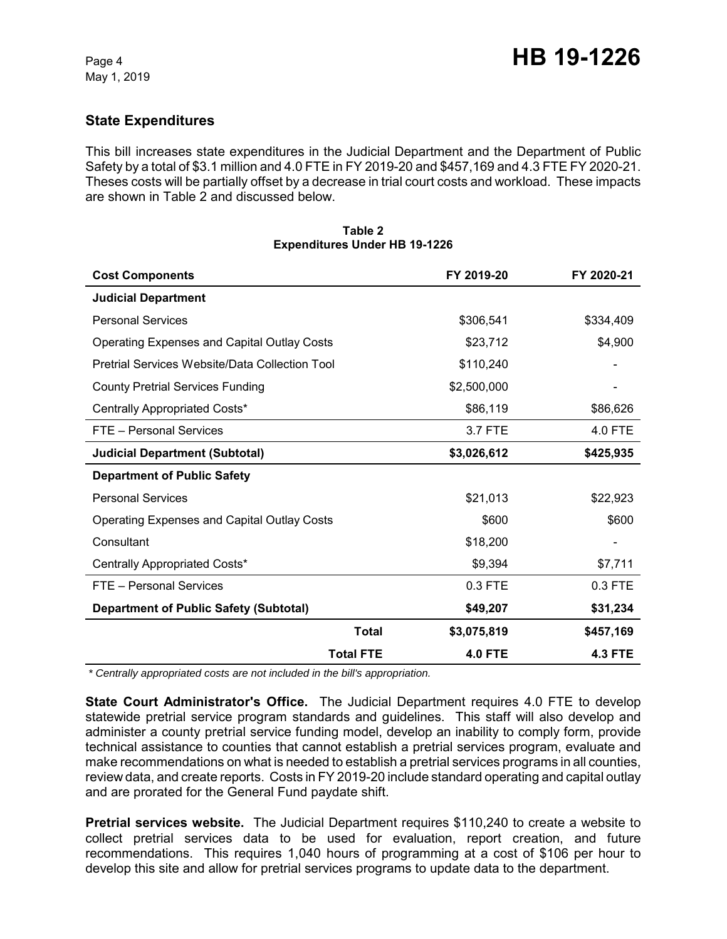## **State Expenditures**

This bill increases state expenditures in the Judicial Department and the Department of Public Safety by a total of \$3.1 million and 4.0 FTE in FY 2019-20 and \$457,169 and 4.3 FTE FY 2020-21. Theses costs will be partially offset by a decrease in trial court costs and workload. These impacts are shown in Table 2 and discussed below.

| <b>Cost Components</b>                             |                  | FY 2019-20     | FY 2020-21     |
|----------------------------------------------------|------------------|----------------|----------------|
| <b>Judicial Department</b>                         |                  |                |                |
| <b>Personal Services</b>                           |                  | \$306,541      | \$334,409      |
| Operating Expenses and Capital Outlay Costs        |                  | \$23,712       | \$4,900        |
| Pretrial Services Website/Data Collection Tool     |                  | \$110,240      |                |
| <b>County Pretrial Services Funding</b>            |                  | \$2,500,000    |                |
| Centrally Appropriated Costs*                      |                  | \$86,119       | \$86,626       |
| FTE - Personal Services                            |                  | 3.7 FTE        | 4.0 FTE        |
| <b>Judicial Department (Subtotal)</b>              |                  | \$3,026,612    | \$425,935      |
| <b>Department of Public Safety</b>                 |                  |                |                |
| <b>Personal Services</b>                           |                  | \$21,013       | \$22,923       |
| <b>Operating Expenses and Capital Outlay Costs</b> |                  | \$600          | \$600          |
| Consultant                                         |                  | \$18,200       |                |
| Centrally Appropriated Costs*                      |                  | \$9,394        | \$7,711        |
| FTE - Personal Services                            |                  | 0.3 FTE        | 0.3 FTE        |
| <b>Department of Public Safety (Subtotal)</b>      |                  | \$49,207       | \$31,234       |
|                                                    | Total            | \$3,075,819    | \$457,169      |
|                                                    | <b>Total FTE</b> | <b>4.0 FTE</b> | <b>4.3 FTE</b> |

#### **Table 2 Expenditures Under HB 19-1226**

 *\* Centrally appropriated costs are not included in the bill's appropriation.*

**State Court Administrator's Office.** The Judicial Department requires 4.0 FTE to develop statewide pretrial service program standards and guidelines. This staff will also develop and administer a county pretrial service funding model, develop an inability to comply form, provide technical assistance to counties that cannot establish a pretrial services program, evaluate and make recommendations on what is needed to establish a pretrial services programs in all counties, review data, and create reports. Costs in FY 2019-20 include standard operating and capital outlay and are prorated for the General Fund paydate shift.

**Pretrial services website.** The Judicial Department requires \$110,240 to create a website to collect pretrial services data to be used for evaluation, report creation, and future recommendations. This requires 1,040 hours of programming at a cost of \$106 per hour to develop this site and allow for pretrial services programs to update data to the department.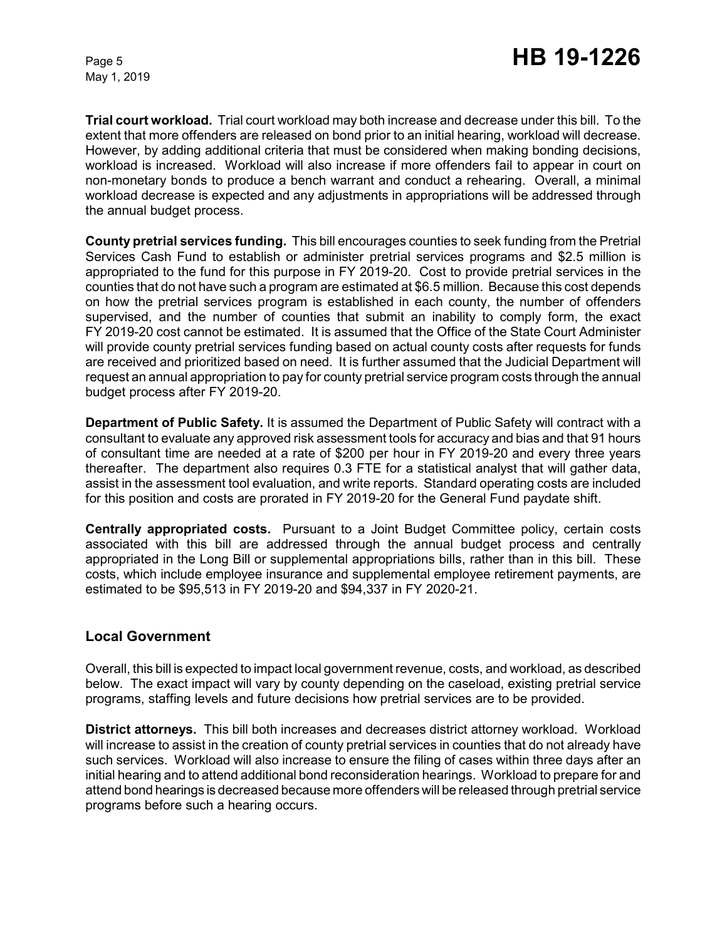**Trial court workload.** Trial court workload may both increase and decrease under this bill. To the extent that more offenders are released on bond prior to an initial hearing, workload will decrease. However, by adding additional criteria that must be considered when making bonding decisions, workload is increased. Workload will also increase if more offenders fail to appear in court on non-monetary bonds to produce a bench warrant and conduct a rehearing. Overall, a minimal workload decrease is expected and any adjustments in appropriations will be addressed through the annual budget process.

**County pretrial services funding.** This bill encourages counties to seek funding from the Pretrial Services Cash Fund to establish or administer pretrial services programs and \$2.5 million is appropriated to the fund for this purpose in FY 2019-20. Cost to provide pretrial services in the counties that do not have such a program are estimated at \$6.5 million. Because this cost depends on how the pretrial services program is established in each county, the number of offenders supervised, and the number of counties that submit an inability to comply form, the exact FY 2019-20 cost cannot be estimated. It is assumed that the Office of the State Court Administer will provide county pretrial services funding based on actual county costs after requests for funds are received and prioritized based on need. It is further assumed that the Judicial Department will request an annual appropriation to pay for county pretrial service program costs through the annual budget process after FY 2019-20.

**Department of Public Safety.** It is assumed the Department of Public Safety will contract with a consultant to evaluate any approved risk assessment tools for accuracy and bias and that 91 hours of consultant time are needed at a rate of \$200 per hour in FY 2019-20 and every three years thereafter. The department also requires 0.3 FTE for a statistical analyst that will gather data, assist in the assessment tool evaluation, and write reports. Standard operating costs are included for this position and costs are prorated in FY 2019-20 for the General Fund paydate shift.

**Centrally appropriated costs.** Pursuant to a Joint Budget Committee policy, certain costs associated with this bill are addressed through the annual budget process and centrally appropriated in the Long Bill or supplemental appropriations bills, rather than in this bill. These costs, which include employee insurance and supplemental employee retirement payments, are estimated to be \$95,513 in FY 2019-20 and \$94,337 in FY 2020-21.

## **Local Government**

Overall, this bill is expected to impact local government revenue, costs, and workload, as described below. The exact impact will vary by county depending on the caseload, existing pretrial service programs, staffing levels and future decisions how pretrial services are to be provided.

**District attorneys.** This bill both increases and decreases district attorney workload. Workload will increase to assist in the creation of county pretrial services in counties that do not already have such services. Workload will also increase to ensure the filing of cases within three days after an initial hearing and to attend additional bond reconsideration hearings. Workload to prepare for and attend bond hearings is decreased because more offenders will be released through pretrial service programs before such a hearing occurs.